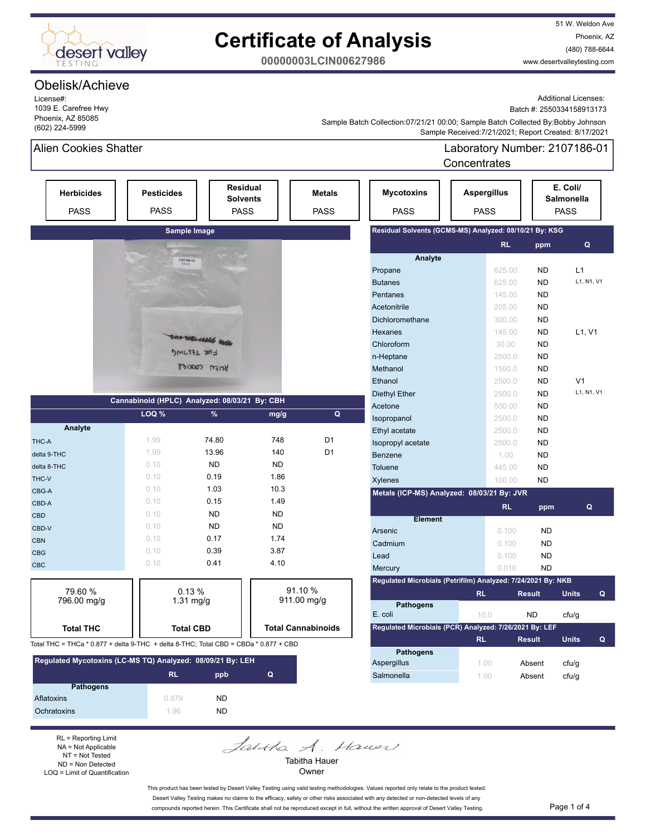

# **Certificate of Analysis**

51 W. Weldon Ave Phoenix, AZ (480) 788-6644 www.desertvalleytesting.com

**00000003LCIN00627986**

## Obelisk/Achieve

License#: 1039 E. Carefree Hwy Phoenix, AZ 85085 (602) 224-5999

Additional Licenses:

Batch #: 2550334158913173

 Sample Received:7/21/2021; Report Created: 8/17/2021 Sample Batch Collection:07/21/21 00:00; Sample Batch Collected By:Bobby Johnson

Salmonella 1.00 Absent cfu/g

## Alien Cookies Shatter

Laboratory Number: 2107186-01 Concentrates

|                                                                                      |                                  |                                                   |           |                              |                                                              | <b>UUILEIIU dies</b>              |               |                                       |
|--------------------------------------------------------------------------------------|----------------------------------|---------------------------------------------------|-----------|------------------------------|--------------------------------------------------------------|-----------------------------------|---------------|---------------------------------------|
| <b>Herbicides</b><br><b>PASS</b>                                                     | <b>Pesticides</b><br><b>PASS</b> | <b>Residual</b><br><b>Solvents</b><br><b>PASS</b> |           | <b>Metals</b><br><b>PASS</b> | <b>Mycotoxins</b><br><b>PASS</b>                             | <b>Aspergillus</b><br><b>PASS</b> |               | E. Coli/<br>Salmonella<br><b>PASS</b> |
|                                                                                      | Sample Image                     |                                                   |           |                              | Residual Solvents (GCMS-MS) Analyzed: 08/10/21 By: KSG       |                                   |               |                                       |
|                                                                                      |                                  |                                                   |           |                              |                                                              | RL.                               | ppm           | Q                                     |
|                                                                                      | 2107186-01                       |                                                   |           |                              | Analyte                                                      |                                   |               |                                       |
|                                                                                      |                                  |                                                   |           |                              | Propane                                                      | 625.00                            | <b>ND</b>     | L1                                    |
|                                                                                      |                                  |                                                   |           |                              | <b>Butanes</b>                                               | 625.00                            | <b>ND</b>     | L1, N1, V1                            |
|                                                                                      |                                  |                                                   |           |                              | Pentanes                                                     | 145.00                            | <b>ND</b>     |                                       |
|                                                                                      |                                  |                                                   |           |                              | Acetonitrile                                                 | 205.00                            | <b>ND</b>     |                                       |
|                                                                                      |                                  |                                                   |           |                              | Dichloromethane                                              | 300.00                            | <b>ND</b>     |                                       |
|                                                                                      |                                  |                                                   |           |                              | Hexanes                                                      | 145.00                            | <b>ND</b>     | L1, V1                                |
|                                                                                      |                                  | Marsha wh                                         |           |                              | Chloroform                                                   | 30.00                             | <b>ND</b>     |                                       |
|                                                                                      |                                  | DMILS3L 20-                                       |           |                              | n-Heptane                                                    | 2500.0                            | <b>ND</b>     |                                       |
|                                                                                      |                                  | Aren coares                                       |           |                              | Methanol                                                     | 1500.0                            | <b>ND</b>     |                                       |
|                                                                                      |                                  |                                                   |           |                              | Ethanol                                                      | 2500.0                            | <b>ND</b>     | V <sub>1</sub>                        |
|                                                                                      |                                  |                                                   |           |                              | <b>Diethyl Ether</b>                                         | 2500.0                            | <b>ND</b>     | L1, N1, V1                            |
|                                                                                      |                                  | Cannabinoid (HPLC) Analyzed: 08/03/21 By: CBH     |           |                              | Acetone                                                      | 500.00                            | <b>ND</b>     |                                       |
|                                                                                      | LOQ %                            | %                                                 | mg/g      | Q                            | Isopropanol                                                  | 2500.0                            | <b>ND</b>     |                                       |
| Analyte                                                                              |                                  |                                                   |           |                              | Ethyl acetate                                                | 2500.0                            | <b>ND</b>     |                                       |
| THC-A                                                                                | 1.99                             | 74.80                                             | 748       | D <sub>1</sub>               | Isopropyl acetate                                            | 2500.0                            | <b>ND</b>     |                                       |
| delta 9-THC                                                                          | 1.99                             | 13.96                                             | 140       | D <sub>1</sub>               | <b>Benzene</b>                                               | 1.00                              | <b>ND</b>     |                                       |
| delta 8-THC                                                                          | 0.10                             | <b>ND</b>                                         | <b>ND</b> |                              | <b>Toluene</b>                                               | 445.00                            | ND            |                                       |
| THC-V                                                                                | 0.10                             | 0.19                                              | 1.86      |                              | Xylenes                                                      | 100.00                            | <b>ND</b>     |                                       |
| CBG-A                                                                                | 0.10                             | 1.03                                              | 10.3      |                              | Metals (ICP-MS) Analyzed: 08/03/21 By: JVR                   |                                   |               |                                       |
| CBD-A                                                                                | 0.10                             | 0.15                                              | 1.49      |                              |                                                              | <b>RL</b>                         | ppm           | Q                                     |
| <b>CBD</b>                                                                           | 0.10                             | <b>ND</b>                                         | <b>ND</b> |                              | <b>Element</b>                                               |                                   |               |                                       |
| CBD-V                                                                                | 0.10                             | <b>ND</b>                                         | <b>ND</b> |                              | Arsenic                                                      | 0.100                             | <b>ND</b>     |                                       |
| <b>CBN</b>                                                                           | 0.10                             | 0.17                                              | 1.74      |                              | Cadmium                                                      | 0.100                             | <b>ND</b>     |                                       |
| <b>CBG</b>                                                                           | 0.10                             | 0.39                                              | 3.87      |                              | Lead                                                         | 0.100                             | <b>ND</b>     |                                       |
| <b>CBC</b>                                                                           | 0.10                             | 0.41                                              | 4.10      |                              | Mercury                                                      | 0.010                             | <b>ND</b>     |                                       |
|                                                                                      |                                  |                                                   |           |                              | Regulated Microbials (Petrifilm) Analyzed: 7/24/2021 By: NKB |                                   |               |                                       |
| 79.60 %                                                                              | 0.13%                            |                                                   |           | 91.10 %                      |                                                              | <b>RL</b>                         | <b>Result</b> | <b>Units</b><br>Q                     |
| 796.00 mg/g                                                                          | $1.31 \text{ mg/g}$              |                                                   |           | $911.00$ mg/g                | <b>Pathogens</b>                                             |                                   |               |                                       |
|                                                                                      |                                  |                                                   |           |                              | E. coli                                                      | 10.0                              | <b>ND</b>     | cfu/g                                 |
| <b>Total THC</b>                                                                     | <b>Total CBD</b>                 |                                                   |           | <b>Total Cannabinoids</b>    | Regulated Microbials (PCR) Analyzed: 7/26/2021 By: LEF       |                                   |               |                                       |
| Total THC = THCa * 0.877 + delta 9-THC + delta 8-THC; Total CBD = CBDa * 0.877 + CBD |                                  |                                                   |           |                              |                                                              | <b>RL</b>                         | <b>Result</b> | <b>Units</b><br>Q                     |
| Regulated Mycotoxins (LC-MS TQ) Analyzed: 08/09/21 By: LEH                           |                                  |                                                   |           |                              | <b>Pathogens</b><br>Aspergillus                              | 1.00                              | Absent        | cfu/g                                 |

**RL ppb Q**

| <b>Pathogens</b> |       |     |
|------------------|-------|-----|
| Aflatoxins       | 0.979 | ND. |
| Ochratoxins      | 196   | ND. |

RL = Reporting Limit NA = Not Applicable NT = Not Tested ND = Non Detected LOQ = Limit of Quantification Jantha A. Hauer

Tabitha Hauer Owner

This product has been tested by Desert Valley Testing using valid testing methodologies. Values reported only relate to the product tested. Desert Valley Testing makes no claims to the efficacy, safety or other risks associated with any detected or non-detected levels of any compounds reported herein. This Certificate shall not be reproduced except in full, without the written approval of Desert Valley Testing. Page 1 of 4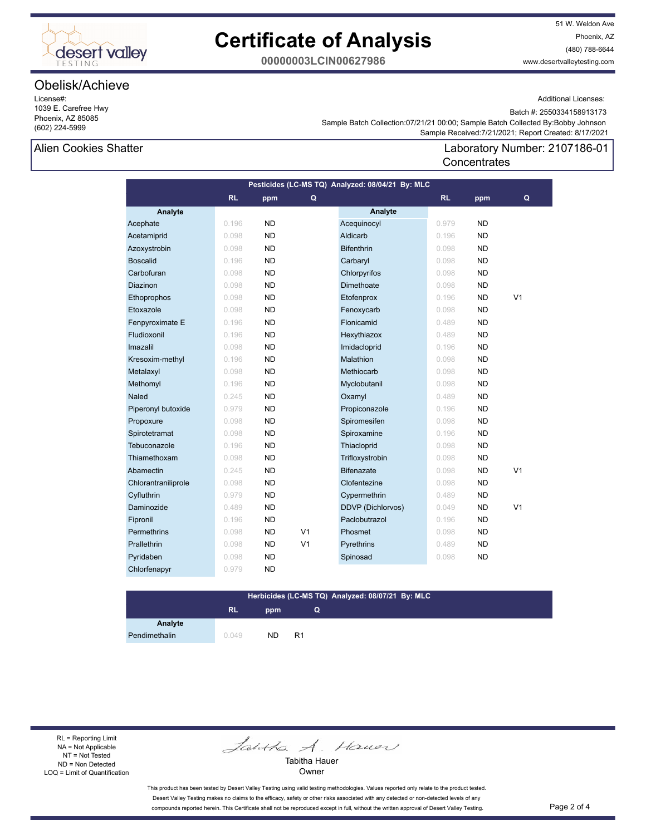

## **Certificate of Analysis**

51 W. Weldon Ave Phoenix, AZ (480) 788-6644 www.desertvalleytesting.com

**00000003LCIN00627986**

## Obelisk/Achieve

License#: 1039 E. Carefree Hwy Phoenix, AZ 85085 (602) 224-5999

Additional Licenses:

Batch #: 2550334158913173

Laboratory Number: 2107186-01

 Sample Received:7/21/2021; Report Created: 8/17/2021 Sample Batch Collection:07/21/21 00:00; Sample Batch Collected By:Bobby Johnson

**Concentrates** 

#### Alien Cookies Shatter

**Analyte Analyte RL ppm RL ppm Pesticides (LC-MS TQ) Analyzed: 08/04/21 By: MLC Q Q** Acephate 0.196 ND Acequinocyl 0.979 ND Acetamiprid 0.098 ND Aldicarb 0.196 ND Azoxystrobin 0.098 ND Bifenthrin 0.098 ND Boscalid 0.196 ND Carbaryl 0.098 ND Carbofuran 0.098 ND Chlorpyrifos 0.098 ND **Diazinon 0.098 ND Dimethoate 0.098 ND**  Ethoprophos 0.098 ND Etofenprox 0.196 ND V1 Etoxazole 0.098 ND Fenoxycarb 0.098 ND **Fenpyroximate E** 0.196 **ND Flonicamid** 0.489 **ND**  Fludioxonil 0.196 ND Hexythiazox 0.489 ND Imazalil 0.098 ND Imidacloprid 0.196 ND Kresoxim-methyl 0.196 ND Malathion 0.098 ND Metalaxyl 0.098 ND Methiocarb 0.098 ND Methomyl 0.196 ND Myclobutanil 0.098 ND **Naled 0.245 ND Oxamyl 0.489 ND** Piperonyl butoxide 0.979 ND Propiconazole 0.196 ND Propoxure 0.098 ND Spiromesifen 0.098 ND Spirotetramat 0.098 ND Spiroxamine 0.196 ND Tebuconazole 0.196 ND Thiacloprid 0.098 ND Thiamethoxam 0.098 ND Trifloxystrobin 0.098 ND Abamectin 1980 0.245 ND Bifenazate 1980 0.098 ND V1 Chlorantraniliprole 0.098 ND Clofentezine 0.098 ND Cyfluthrin 0.979 ND Cypermethrin 0.489 ND Daminozide 0.489 ND DDVP (Dichlorvos) 0.049 ND V1 Fipronil 0.196 ND Paclobutrazol 0.196 ND Permethrins 0.098 ND V1 Phosmet 0.098 ND Prallethrin 0.098 ND V1 Pyrethrins 0.489 ND Pyridaben 0.098 ND Spinosad 0.098 ND Chlorfenapyr 0.979 ND

#### **Herbicides (LC-MS TQ) Analyzed: 08/07/21 By: MLC**

**Q**

## **RL ppm**

**Analyte**

Pendimethalin 0.049 ND R1

RL = Reporting Limit NA = Not Applicable NT = Not Tested ND = Non Detected LOQ = Limit of Quantification

Janka A. Hauer

Tabitha Hauer **Owner** 

This product has been tested by Desert Valley Testing using valid testing methodologies. Values reported only relate to the product tested. Desert Valley Testing makes no claims to the efficacy, safety or other risks associated with any detected or non-detected levels of any compounds reported herein. This Certificate shall not be reproduced except in full, without the written approval of Desert Valley Testing. Page 2 of 4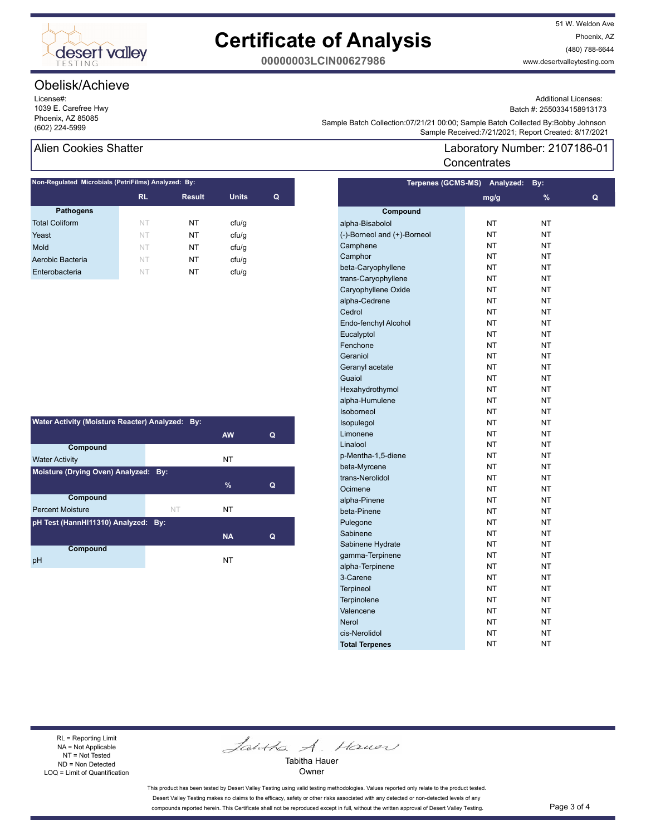

# **Certificate of Analysis**

51 W. Weldon Ave Phoenix, AZ (480) 788-6644 www.desertvalleytesting.com

**00000003LCIN00627986**

## Obelisk/Achieve

License#: 1039 E. Carefree Hwy Phoenix, AZ 85085

Additional Licenses: Batch #: 2550334158913173

Laboratory Number: 2107186-01

Sample Batch Collection.or/21/21 00.00, Sample Batch Collection.or/21/21 00.00, Sample Batch Collection<br>Sample Received:7/21/2021; Report Created: 8/17/2021 Sample Batch Collection:07/21/21 00:00; Sample Batch Collected By:Bobby Johnson

**Concentrates** 

## Alien Cookies Shatter

| Non-Regulated Microbials (PetriFilms) Analyzed: By: |           |               |              |   |  |
|-----------------------------------------------------|-----------|---------------|--------------|---|--|
|                                                     | <b>RL</b> | <b>Result</b> | <b>Units</b> | Q |  |
| <b>Pathogens</b>                                    |           |               |              |   |  |
| <b>Total Coliform</b>                               | NT        | NΤ            | cfu/q        |   |  |
| Yeast                                               | NT        | NT            | cfu/q        |   |  |
| Mold                                                | <b>NT</b> | NT            | cfu/q        |   |  |
| Aerobic Bacteria                                    | NT        | NT            | cfu/q        |   |  |
| Enterobacteria                                      | NT        | NT            | ctu/g        |   |  |
|                                                     |           |               |              |   |  |

| Water Activity (Moisture Reacter) Analyzed: By: |    |           |   |  |  |
|-------------------------------------------------|----|-----------|---|--|--|
|                                                 |    | <b>AW</b> | Q |  |  |
| Compound                                        |    |           |   |  |  |
| <b>Water Activity</b>                           |    | NT        |   |  |  |
| Moisture (Drying Oven) Analyzed: By:            |    |           |   |  |  |
|                                                 |    | $\%$      | Q |  |  |
| <b>Compound</b>                                 |    |           |   |  |  |
| <b>Percent Moisture</b>                         | NT | NΤ        |   |  |  |
| pH Test (HannHI11310) Analyzed: By:             |    |           |   |  |  |
|                                                 |    | <b>NA</b> | Q |  |  |
| Compound                                        |    |           |   |  |  |
| рH                                              |    | NT        |   |  |  |

| Terpenes (GCMS-MS)          | Analyzed: | By: |   |
|-----------------------------|-----------|-----|---|
|                             | mg/g      | %   | Q |
| Compound                    |           |     |   |
| alpha-Bisabolol             | NΤ        | NΤ  |   |
| (-)-Borneol and (+)-Borneol | <b>NT</b> | NT  |   |
| Camphene                    | <b>NT</b> | NT  |   |
| Camphor                     | <b>NT</b> | NT  |   |
| beta-Caryophyllene          | NT        | NΤ  |   |
| trans-Caryophyllene         | NT        | NΤ  |   |
| Caryophyllene Oxide         | NT        | NT  |   |
| alpha-Cedrene               | <b>NT</b> | NT  |   |
| Cedrol                      | <b>NT</b> | NT  |   |
| Endo-fenchyl Alcohol        | <b>NT</b> | NT  |   |
| Eucalyptol                  | <b>NT</b> | NT  |   |
| Fenchone                    | NT        | NΤ  |   |
| Geraniol                    | NT        | NΤ  |   |
| Geranyl acetate             | NT        | NΤ  |   |
| Guaiol                      | NT        | NΤ  |   |
| Hexahydrothymol             | <b>NT</b> | NT  |   |
| alpha-Humulene              | <b>NT</b> | NT  |   |
| Isoborneol                  | <b>NT</b> | NT  |   |
| Isopulegol                  | NT        | NΤ  |   |
| Limonene                    | NT        | NΤ  |   |
| Linalool                    | NT        | NΤ  |   |
| p-Mentha-1,5-diene          | NT        | NΤ  |   |
| beta-Myrcene                | NT        | NT  |   |
| trans-Nerolidol             | <b>NT</b> | NT  |   |
| Ocimene                     | <b>NT</b> | NT  |   |
| alpha-Pinene                | NT        | NΤ  |   |
| beta-Pinene                 | NT        | NT  |   |
| Pulegone                    | NT        | NΤ  |   |
| Sabinene                    | NT        | NΤ  |   |
| Sabinene Hydrate            | NΤ        | NT  |   |
| gamma-Terpinene             | <b>NT</b> | NT  |   |
| alpha-Terpinene             | <b>NT</b> | NT  |   |
| 3-Carene                    | NT        | NΤ  |   |
| <b>Terpineol</b>            | NT        | NΤ  |   |
| Terpinolene                 | NT        | NΤ  |   |
| Valencene                   | <b>NT</b> | NΤ  |   |
| <b>Nerol</b>                | <b>NT</b> | NT  |   |
| cis-Nerolidol               | NT        | NT  |   |
| <b>Total Terpenes</b>       | <b>NT</b> | NT  |   |

RL = Reporting Limit NA = Not Applicable NT = Not Tested ND = Non Detected LOQ = Limit of Quantification

Jantha A. Hauer

Tabitha Hauer Owner

This product has been tested by Desert Valley Testing using valid testing methodologies. Values reported only relate to the product tested. Desert Valley Testing makes no claims to the efficacy, safety or other risks associated with any detected or non-detected levels of any compounds reported herein. This Certificate shall not be reproduced except in full, without the written approval of Desert Valley Testing. Page 3 of 4